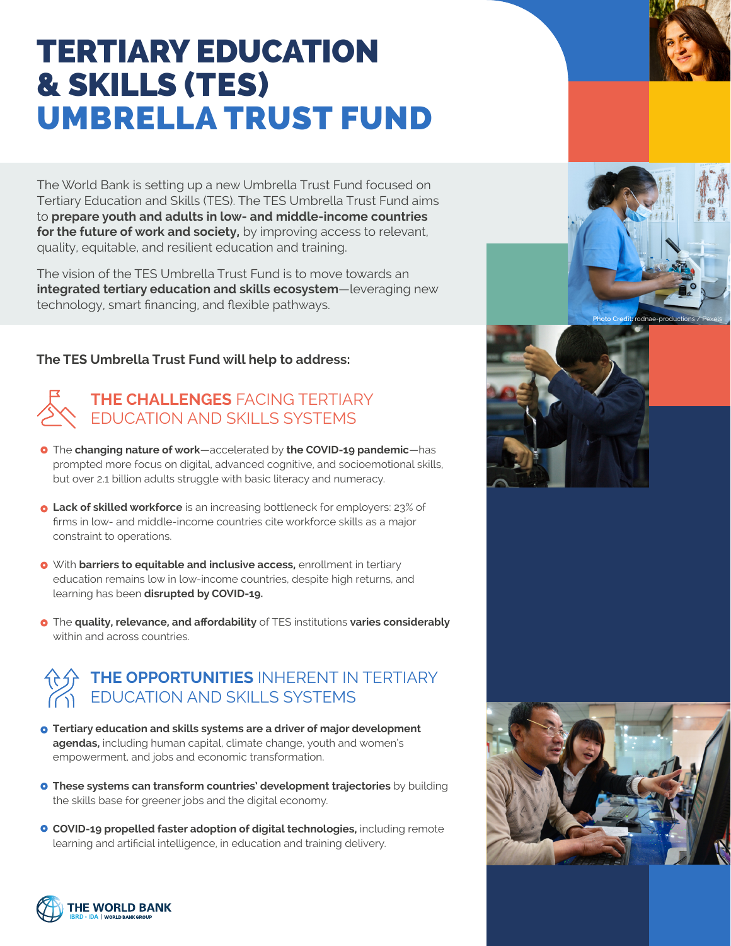# TERTIARY EDUCATION & SKILLS (TES) UMBRELLA TRUST FUND

The World Bank is setting up a new Umbrella Trust Fund focused on Tertiary Education and Skills (TES). The TES Umbrella Trust Fund aims to **prepare youth and adults in low- and middle-income countries for the future of work and society,** by improving access to relevant, quality, equitable, and resilient education and training.

The vision of the TES Umbrella Trust Fund is to move towards an **integrated tertiary education and skills ecosystem**—leveraging new technology, smart financing, and flexible pathways.

#### **The TES Umbrella Trust Fund will help to address:**

## **THE CHALLENGES** FACING TERTIARY EDUCATION AND SKILLS SYSTEMS

- The **changing nature of work**—accelerated by **the COVID-19 pandemic**—has prompted more focus on digital, advanced cognitive, and socioemotional skills, but over 2.1 billion adults struggle with basic literacy and numeracy.
- **o** Lack of skilled workforce is an increasing bottleneck for employers: 23% of firms in low- and middle-income countries cite workforce skills as a major constraint to operations.
- With **barriers to equitable and inclusive access,** enrollment in tertiary education remains low in low-income countries, despite high returns, and learning has been **disrupted by COVID-19.**
- The **quality, relevance, and affordability** of TES institutions **varies considerably**  within and across countries.

# **THE OPPORTUNITIES** INHERENT IN TERTIARY EDUCATION AND SKILLS SYSTEMS

- **Tertiary education and skills systems are a driver of major development agendas,** including human capital, climate change, youth and women's empowerment, and jobs and economic transformation.
- **These systems can transform countries' development trajectories** by building the skills base for greener jobs and the digital economy.
- **COVID-19 propelled faster adoption of digital technologies,** including remote learning and artificial intelligence, in education and training delivery.